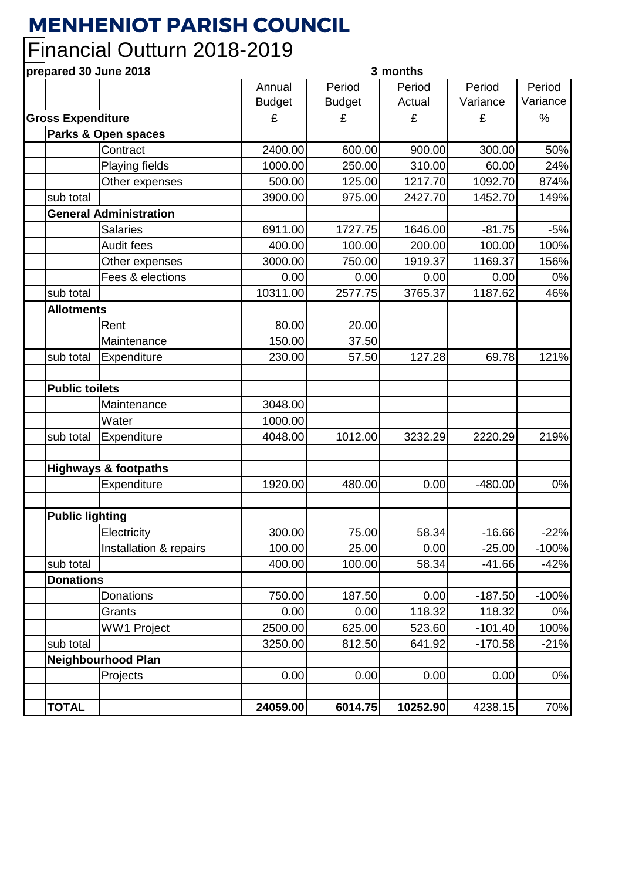## **MENHENIOT PARISH COUNCIL**

## Financial Outturn 2018-2019

**prepared 30 June 2018 3 months**

| <b>DI ANGIAN AN ANIIE TATA</b><br>J IIIVIILIIJ |                        |                                                                                                                                                   |               |          |           |          |
|------------------------------------------------|------------------------|---------------------------------------------------------------------------------------------------------------------------------------------------|---------------|----------|-----------|----------|
|                                                |                        | Annual                                                                                                                                            | Period        | Period   | Period    | Period   |
|                                                |                        | <b>Budget</b>                                                                                                                                     | <b>Budget</b> | Actual   | Variance  | Variance |
| <b>Gross Expenditure</b>                       |                        | £                                                                                                                                                 | £             | £        | £         | %        |
| Parks & Open spaces                            |                        |                                                                                                                                                   |               |          |           |          |
|                                                | Contract               | 2400.00                                                                                                                                           | 600.00        | 900.00   | 300.00    | 50%      |
|                                                | Playing fields         | 1000.00                                                                                                                                           | 250.00        | 310.00   | 60.00     | 24%      |
|                                                | Other expenses         | 500.00                                                                                                                                            | 125.00        | 1217.70  | 1092.70   | 874%     |
| sub total                                      |                        | 3900.00                                                                                                                                           | 975.00        | 2427.70  | 1452.70   | 149%     |
| <b>General Administration</b>                  |                        |                                                                                                                                                   |               |          |           |          |
|                                                | <b>Salaries</b>        | 6911.00                                                                                                                                           | 1727.75       | 1646.00  | $-81.75$  | $-5%$    |
|                                                | Audit fees             | 400.00                                                                                                                                            | 100.00        | 200.00   | 100.00    | 100%     |
|                                                | Other expenses         | 3000.00                                                                                                                                           | 750.00        | 1919.37  | 1169.37   | 156%     |
|                                                | Fees & elections       | 0.00                                                                                                                                              | 0.00          | 0.00     | 0.00      | 0%       |
| sub total                                      |                        | 10311.00                                                                                                                                          | 2577.75       | 3765.37  | 1187.62   | 46%      |
|                                                |                        |                                                                                                                                                   |               |          |           |          |
|                                                | Rent                   | 80.00                                                                                                                                             | 20.00         |          |           |          |
|                                                | Maintenance            | 150.00                                                                                                                                            | 37.50         |          |           |          |
| sub total                                      | Expenditure            | 230.00                                                                                                                                            | 57.50         | 127.28   | 69.78     | 121%     |
|                                                |                        |                                                                                                                                                   |               |          |           |          |
|                                                |                        |                                                                                                                                                   |               |          |           |          |
|                                                | Maintenance            | 3048.00                                                                                                                                           |               |          |           |          |
|                                                | Water                  | 1000.00                                                                                                                                           |               |          |           |          |
| sub total                                      | Expenditure            | 4048.00                                                                                                                                           | 1012.00       | 3232.29  | 2220.29   | 219%     |
|                                                |                        |                                                                                                                                                   |               |          |           |          |
|                                                |                        |                                                                                                                                                   |               |          |           |          |
|                                                | Expenditure            | 1920.00                                                                                                                                           | 480.00        | 0.00     | $-480.00$ | 0%       |
|                                                |                        |                                                                                                                                                   |               |          |           |          |
|                                                |                        |                                                                                                                                                   |               |          |           |          |
|                                                | Electricity            | 300.00                                                                                                                                            | 75.00         | 58.34    | $-16.66$  | $-22%$   |
|                                                | Installation & repairs | 100.00                                                                                                                                            | 25.00         | 0.00     | $-25.00$  | $-100%$  |
| sub total                                      |                        | 400.00                                                                                                                                            | 100.00        | 58.34    | $-41.66$  | $-42%$   |
|                                                |                        |                                                                                                                                                   |               |          |           |          |
|                                                | Donations              | 750.00                                                                                                                                            | 187.50        | 0.00     | $-187.50$ | $-100%$  |
|                                                | Grants                 | 0.00                                                                                                                                              | 0.00          | 118.32   | 118.32    | 0%       |
|                                                |                        | 2500.00                                                                                                                                           | 625.00        | 523.60   | $-101.40$ | 100%     |
| sub total                                      |                        | 3250.00                                                                                                                                           | 812.50        | 641.92   | $-170.58$ | $-21%$   |
| <b>Neighbourhood Plan</b>                      |                        |                                                                                                                                                   |               |          |           |          |
|                                                | Projects               | 0.00                                                                                                                                              | 0.00          | 0.00     | 0.00      | 0%       |
|                                                |                        |                                                                                                                                                   |               |          |           |          |
| <b>TOTAL</b>                                   |                        | 24059.00                                                                                                                                          | 6014.75       | 10252.90 | 4238.15   | 70%      |
|                                                |                        | <b>Allotments</b><br><b>Public toilets</b><br><b>Highways &amp; footpaths</b><br><b>Public lighting</b><br><b>Donations</b><br><b>WW1 Project</b> |               |          |           |          |